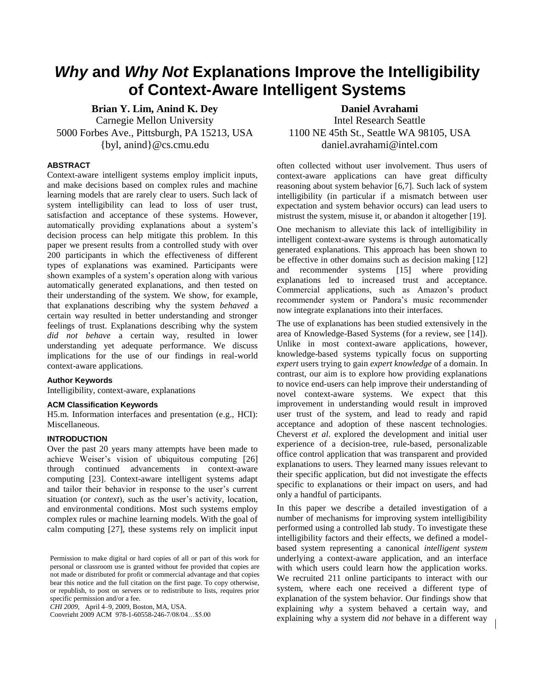# *Why* **and** *Why Not* **Explanations Improve the Intelligibility of Context-Aware Intelligent Systems**

**Brian Y. Lim, Anind K. Dey Daniel Avrahami** Carnegie Mellon University 5000 Forbes Ave., Pittsburgh, PA 15213, USA {byl, anind}@cs.cmu.edu

# **ABSTRACT**

Context-aware intelligent systems employ implicit inputs, and make decisions based on complex rules and machine learning models that are rarely clear to users. Such lack of system intelligibility can lead to loss of user trust, satisfaction and acceptance of these systems. However, automatically providing explanations about a system"s decision process can help mitigate this problem. In this paper we present results from a controlled study with over 200 participants in which the effectiveness of different types of explanations was examined. Participants were shown examples of a system"s operation along with various automatically generated explanations, and then tested on their understanding of the system. We show, for example, that explanations describing why the system *behaved* a certain way resulted in better understanding and stronger feelings of trust. Explanations describing why the system *did not behave* a certain way, resulted in lower understanding yet adequate performance. We discuss implications for the use of our findings in real-world context-aware applications.

# **Author Keywords**

Intelligibility, context-aware, explanations

# **ACM Classification Keywords**

H5.m. Information interfaces and presentation (e.g., HCI): Miscellaneous.

# **INTRODUCTION**

Over the past 20 years many attempts have been made to achieve Weiser"s vision of ubiquitous computing [\[26\]](#page-9-0) through continued advancements in context-aware computing [23]. Context-aware intelligent systems adapt and tailor their behavior in response to the user's current situation (or *context*), such as the user's activity, location, and environmental conditions. Most such systems employ complex rules or machine learning models. With the goal of calm computing [27], these systems rely on implicit input

*CHI 2009*, April 4–9, 2009, Boston, MA, USA.

Copyright 2009 ACM 978-1-60558-246-7/08/04…\$5.00

Intel Research Seattle 1100 NE 45th St., Seattle WA 98105, USA daniel.avrahami@intel.com

often collected without user involvement. Thus users of context-aware applications can have great difficulty reasoning about system behavior [\[6,](#page-9-1)[7\]](#page-9-2). Such lack of system intelligibility (in particular if a mismatch between user expectation and system behavior occurs) can lead users to mistrust the system, misuse it, or abandon it altogether [19].

One mechanism to alleviate this lack of intelligibility in intelligent context-aware systems is through automatically generated explanations. This approach has been shown to be effective in other domains such as decision making [12] and recommender systems [15] where providing explanations led to increased trust and acceptance. Commercial applications, such as Amazon"s product recommender system or Pandora"s music recommender now integrate explanations into their interfaces.

The use of explanations has been studied extensively in the area of Knowledge-Based Systems (for a review, see [14]). Unlike in most context-aware applications, however, knowledge-based systems typically focus on supporting *expert* users trying to gain *expert knowledge* of a domain. In contrast, our aim is to explore how providing explanations to novice end-users can help improve their understanding of novel context-aware systems. We expect that this improvement in understanding would result in improved user trust of the system, and lead to ready and rapid acceptance and adoption of these nascent technologies. Cheverst *et al*. explored the development and initial user experience of a decision-tree, rule-based, personalizable office control application that was transparent and provided explanations to users. They learned many issues relevant to their specific application, but did not investigate the effects specific to explanations or their impact on users, and had only a handful of participants.

In this paper we describe a detailed investigation of a number of mechanisms for improving system intelligibility performed using a controlled lab study. To investigate these intelligibility factors and their effects, we defined a modelbased system representing a canonical *intelligent system* underlying a context-aware application, and an interface with which users could learn how the application works. We recruited 211 online participants to interact with our system, where each one received a different type of explanation of the system behavior. Our findings show that explaining *why* a system behaved a certain way, and explaining why a system did *not* behave in a different way

Permission to make digital or hard copies of all or part of this work for personal or classroom use is granted without fee provided that copies are not made or distributed for profit or commercial advantage and that copies bear this notice and the full citation on the first page. To copy otherwise, or republish, to post on servers or to redistribute to lists, requires prior specific permission and/or a fee.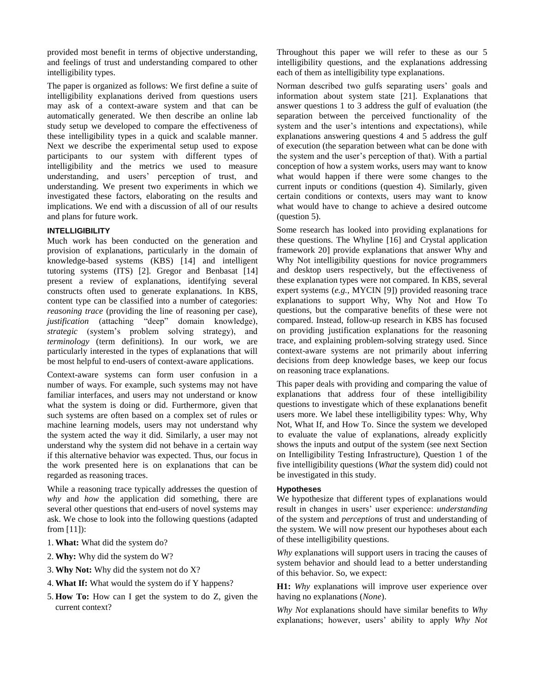provided most benefit in terms of objective understanding, and feelings of trust and understanding compared to other intelligibility types.

The paper is organized as follows: We first define a suite of intelligibility explanations derived from questions users may ask of a context-aware system and that can be automatically generated. We then describe an online lab study setup we developed to compare the effectiveness of these intelligibility types in a quick and scalable manner. Next we describe the experimental setup used to expose participants to our system with different types of intelligibility and the metrics we used to measure understanding, and users" perception of trust, and understanding. We present two experiments in which we investigated these factors, elaborating on the results and implications. We end with a discussion of all of our results and plans for future work.

# **INTELLIGIBILITY**

Much work has been conducted on the generation and provision of explanations, particularly in the domain of knowledge-based systems (KBS) [\[14\]](#page-9-3) and intelligent tutoring systems (ITS) [\[2\]](#page-9-4). Gregor and Benbasat [\[14\]](#page-9-3) present a review of explanations, identifying several constructs often used to generate explanations. In KBS, content type can be classified into a number of categories: *reasoning trace* (providing the line of reasoning per case), *justification* (attaching "deep" domain knowledge), *strategic* (system"s problem solving strategy), and *terminology* (term definitions). In our work, we are particularly interested in the types of explanations that will be most helpful to end-users of context-aware applications.

Context-aware systems can form user confusion in a number of ways. For example, such systems may not have familiar interfaces, and users may not understand or know what the system is doing or did. Furthermore, given that such systems are often based on a complex set of rules or machine learning models, users may not understand why the system acted the way it did. Similarly, a user may not understand why the system did not behave in a certain way if this alternative behavior was expected. Thus, our focus in the work presented here is on explanations that can be regarded as reasoning traces.

While a reasoning trace typically addresses the question of *why* and *how* the application did something, there are several other questions that end-users of novel systems may ask. We chose to look into the following questions (adapted from [\[11\]](#page-9-5)):

- 1. **What:** What did the system do?
- 2. **Why:** Why did the system do W?
- 3. **Why Not:** Why did the system not do X?
- 4. **What If:** What would the system do if Y happens?
- 5. **How To:** How can I get the system to do Z, given the current context?

Throughout this paper we will refer to these as our 5 intelligibility questions, and the explanations addressing each of them as intelligibility type explanations.

Norman described two gulfs separating users" goals and information about system state [21]. Explanations that answer questions 1 to 3 address the gulf of evaluation (the separation between the perceived functionality of the system and the user's intentions and expectations), while explanations answering questions 4 and 5 address the gulf of execution (the separation between what can be done with the system and the user"s perception of that). With a partial conception of how a system works, users may want to know what would happen if there were some changes to the current inputs or conditions (question 4). Similarly, given certain conditions or contexts, users may want to know what would have to change to achieve a desired outcome (question 5).

Some research has looked into providing explanations for these questions. The Whyline [16] and Crystal application framework 20] provide explanations that answer Why and Why Not intelligibility questions for novice programmers and desktop users respectively, but the effectiveness of these explanation types were not compared. In KBS, several expert systems (*e.g.*, MYCIN [9]) provided reasoning trace explanations to support Why, Why Not and How To questions, but the comparative benefits of these were not compared. Instead, follow-up research in KBS has focused on providing justification explanations for the reasoning trace, and explaining problem-solving strategy used. Since context-aware systems are not primarily about inferring decisions from deep knowledge bases, we keep our focus on reasoning trace explanations.

This paper deals with providing and comparing the value of explanations that address four of these intelligibility questions to investigate which of these explanations benefit users more. We label these intelligibility types: Why, Why Not, What If, and How To. Since the system we developed to evaluate the value of explanations, already explicitly shows the inputs and output of the system (see next Section on Intelligibility Testing Infrastructure), Question 1 of the five intelligibility questions (*What* the system did) could not be investigated in this study.

# **Hypotheses**

We hypothesize that different types of explanations would result in changes in users" user experience: *understanding* of the system and *perceptions* of trust and understanding of the system. We will now present our hypotheses about each of these intelligibility questions.

*Why* explanations will support users in tracing the causes of system behavior and should lead to a better understanding of this behavior. So, we expect:

**H1:** *Why* explanations will improve user experience over having no explanations (*None*).

*Why Not* explanations should have similar benefits to *Why* explanations; however, users" ability to apply *Why Not*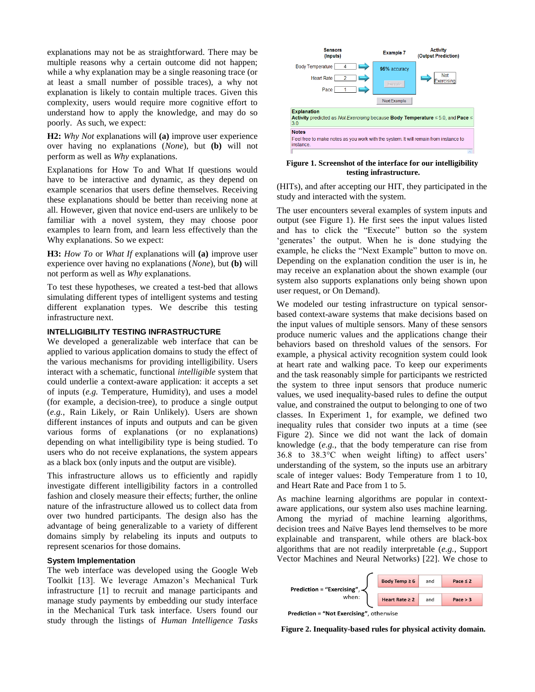explanations may not be as straightforward. There may be multiple reasons why a certain outcome did not happen; while a why explanation may be a single reasoning trace (or at least a small number of possible traces), a why not explanation is likely to contain multiple traces. Given this complexity, users would require more cognitive effort to understand how to apply the knowledge, and may do so poorly. As such, we expect:

**H2:** *Why Not* explanations will **(a)** improve user experience over having no explanations (*None*), but **(b)** will not perform as well as *Why* explanations.

Explanations for How To and What If questions would have to be interactive and dynamic, as they depend on example scenarios that users define themselves. Receiving these explanations should be better than receiving none at all. However, given that novice end-users are unlikely to be familiar with a novel system, they may choose poor examples to learn from, and learn less effectively than the Why explanations. So we expect:

**H3:** *How To* or *What If* explanations will **(a)** improve user experience over having no explanations (*None*), but **(b)** will not perform as well as *Why* explanations.

To test these hypotheses, we created a test-bed that allows simulating different types of intelligent systems and testing different explanation types. We describe this testing infrastructure next.

## **INTELLIGIBILITY TESTING INFRASTRUCTURE**

We developed a generalizable web interface that can be applied to various application domains to study the effect of the various mechanisms for providing intelligibility. Users interact with a schematic, functional *intelligible* system that could underlie a context-aware application: it accepts a set of inputs (*e.g.* Temperature, Humidity), and uses a model (for example, a decision-tree), to produce a single output (*e.g.*, Rain Likely, or Rain Unlikely). Users are shown different instances of inputs and outputs and can be given various forms of explanations (or no explanations) depending on what intelligibility type is being studied. To users who do not receive explanations, the system appears as a black box (only inputs and the output are visible).

This infrastructure allows us to efficiently and rapidly investigate different intelligibility factors in a controlled fashion and closely measure their effects; further, the online nature of the infrastructure allowed us to collect data from over two hundred participants. The design also has the advantage of being generalizable to a variety of different domains simply by relabeling its inputs and outputs to represent scenarios for those domains.

#### **System Implementation**

The web interface was developed using the Google Web Toolkit [13]. We leverage Amazon's Mechanical Turk infrastructure [\[1\]](#page-9-6) to recruit and manage participants and manage study payments by embedding our study interface in the Mechanical Turk task interface. Users found our study through the listings of *Human Intelligence Tasks*



#### **Figure 1. Screenshot of the interface for our intelligibility testing infrastructure.**

(HITs), and after accepting our HIT, they participated in the study and interacted with the system.

The user encounters several examples of system inputs and output (see Figure 1). He first sees the input values listed and has to click the "Execute" button so the system 'generates' the output. When he is done studying the example, he clicks the "Next Example" button to move on. Depending on the explanation condition the user is in, he may receive an explanation about the shown example (our system also supports explanations only being shown upon user request, or On Demand).

We modeled our testing infrastructure on typical sensorbased context-aware systems that make decisions based on the input values of multiple sensors. Many of these sensors produce numeric values and the applications change their behaviors based on threshold values of the sensors. For example, a physical activity recognition system could look at heart rate and walking pace. To keep our experiments and the task reasonably simple for participants we restricted the system to three input sensors that produce numeric values, we used inequality-based rules to define the output value, and constrained the output to belonging to one of two classes. In Experiment 1, for example, we defined two inequality rules that consider two inputs at a time (see Figure 2). Since we did not want the lack of domain knowledge (*e.g.*, that the body temperature can rise from 36.8 to 38.3°C when weight lifting) to affect users" understanding of the system, so the inputs use an arbitrary scale of integer values: Body Temperature from 1 to 10, and Heart Rate and Pace from 1 to 5.

As machine learning algorithms are popular in contextaware applications, our system also uses machine learning. Among the myriad of machine learning algorithms, decision trees and Naïve Bayes lend themselves to be more explainable and transparent, while others are black-box algorithms that are not readily interpretable (*e.g.*, Support Vector Machines and Neural Networks) [22]. We chose to



Prediction = "Not Exercising", otherwise

**Figure 2. Inequality-based rules for physical activity domain.**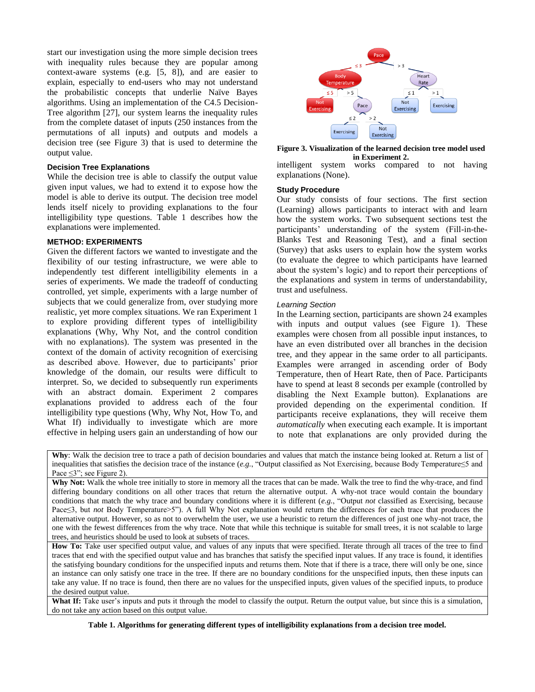start our investigation using the more simple decision trees with inequality rules because they are popular among context-aware systems (e.g. [5, 8]), and are easier to explain, especially to end-users who may not understand the probabilistic concepts that underlie Naïve Bayes algorithms. Using an implementation of the C4.5 Decision-Tree algorithm [27], our system learns the inequality rules from the complete dataset of inputs (250 instances from the permutations of all inputs) and outputs and models a decision tree (see Figure 3) that is used to determine the output value.

#### **Decision Tree Explanations**

While the decision tree is able to classify the output value given input values, we had to extend it to expose how the model is able to derive its output. The decision tree model lends itself nicely to providing explanations to the four intelligibility type questions. [Table 1](#page-3-0) describes how the explanations were implemented.

# **METHOD: EXPERIMENTS**

Given the different factors we wanted to investigate and the flexibility of our testing infrastructure, we were able to independently test different intelligibility elements in a series of experiments. We made the tradeoff of conducting controlled, yet simple, experiments with a large number of subjects that we could generalize from, over studying more realistic, yet more complex situations. We ran Experiment 1 to explore providing different types of intelligibility explanations (Why, Why Not, and the control condition with no explanations). The system was presented in the context of the domain of activity recognition of exercising as described above. However, due to participants' prior knowledge of the domain, our results were difficult to interpret. So, we decided to subsequently run experiments with an abstract domain. Experiment 2 compares explanations provided to address each of the four intelligibility type questions (Why, Why Not, How To, and What If) individually to investigate which are more effective in helping users gain an understanding of how our



**Figure 3. Visualization of the learned decision tree model used** 

intelligent system works compared to not having explanations (None). **in Experiment 2.**

## **Study Procedure**

Our study consists of four sections. The first section (Learning) allows participants to interact with and learn how the system works. Two subsequent sections test the participants" understanding of the system (Fill-in-the-Blanks Test and Reasoning Test), and a final section (Survey) that asks users to explain how the system works (to evaluate the degree to which participants have learned about the system"s logic) and to report their perceptions of the explanations and system in terms of understandability, trust and usefulness.

#### *Learning Section*

In the Learning section, participants are shown 24 examples with inputs and output values (see Figure 1). These examples were chosen from all possible input instances, to have an even distributed over all branches in the decision tree, and they appear in the same order to all participants. Examples were arranged in ascending order of Body Temperature, then of Heart Rate, then of Pace. Participants have to spend at least 8 seconds per example (controlled by disabling the Next Example button). Explanations are provided depending on the experimental condition. If participants receive explanations, they will receive them *automatically* when executing each example. It is important to note that explanations are only provided during the

Why: Walk the decision tree to trace a path of decision boundaries and values that match the instance being looked at. Return a list of inequalities that satisfies the decision trace of the instance (*e.g.*, "Output classified as Not Exercising, because Body Temperature≤5 and Pace  $\leq$ 3"; see Figure 2).

Why Not: Walk the whole tree initially to store in memory all the traces that can be made. Walk the tree to find the why-trace, and find differing boundary conditions on all other traces that return the alternative output. A why-not trace would contain the boundary conditions that match the why trace and boundary conditions where it is different (*e.g.*, "Output *not* classified as Exercising, because Pace≤3, but *not* Body Temperature>5"). A full Why Not explanation would return the differences for each trace that produces the alternative output. However, so as not to overwhelm the user, we use a heuristic to return the differences of just one why-not trace, the one with the fewest differences from the why trace. Note that while this technique is suitable for small trees, it is not scalable to large trees, and heuristics should be used to look at subsets of traces.

**How To:** Take user specified output value, and values of any inputs that were specified. Iterate through all traces of the tree to find traces that end with the specified output value and has branches that satisfy the specified input values. If any trace is found, it identifies the satisfying boundary conditions for the unspecified inputs and returns them. Note that if there is a trace, there will only be one, since an instance can only satisfy one trace in the tree. If there are no boundary conditions for the unspecified inputs, then these inputs can take any value. If no trace is found, then there are no values for the unspecified inputs, given values of the specified inputs, to produce the desired output value.

<span id="page-3-0"></span>What If: Take user's inputs and puts it through the model to classify the output. Return the output value, but since this is a simulation, do not take any action based on this output value.

**Table 1. Algorithms for generating different types of intelligibility explanations from a decision tree model.**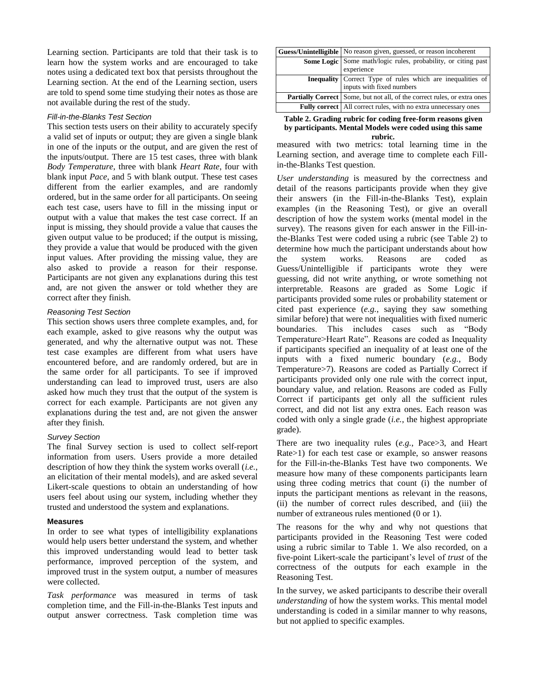Learning section. Participants are told that their task is to learn how the system works and are encouraged to take notes using a dedicated text box that persists throughout the Learning section. At the end of the Learning section, users are told to spend some time studying their notes as those are not available during the rest of the study.

### *Fill-in-the-Blanks Test Section*

This section tests users on their ability to accurately specify a valid set of inputs or output; they are given a single blank in one of the inputs or the output, and are given the rest of the inputs/output. There are 15 test cases, three with blank *Body Temperature*, three with blank *Heart Rate*, four with blank input *Pace*, and 5 with blank output. These test cases different from the earlier examples, and are randomly ordered, but in the same order for all participants. On seeing each test case, users have to fill in the missing input or output with a value that makes the test case correct. If an input is missing, they should provide a value that causes the given output value to be produced; if the output is missing, they provide a value that would be produced with the given input values. After providing the missing value, they are also asked to provide a reason for their response. Participants are not given any explanations during this test and, are not given the answer or told whether they are correct after they finish.

# *Reasoning Test Section*

This section shows users three complete examples, and, for each example, asked to give reasons why the output was generated, and why the alternative output was not. These test case examples are different from what users have encountered before, and are randomly ordered, but are in the same order for all participants. To see if improved understanding can lead to improved trust, users are also asked how much they trust that the output of the system is correct for each example. Participants are not given any explanations during the test and, are not given the answer after they finish.

#### *Survey Section*

The final Survey section is used to collect self-report information from users. Users provide a more detailed description of how they think the system works overall (*i.e.*, an elicitation of their mental models), and are asked several Likert-scale questions to obtain an understanding of how users feel about using our system, including whether they trusted and understood the system and explanations.

#### **Measures**

In order to see what types of intelligibility explanations would help users better understand the system, and whether this improved understanding would lead to better task performance, improved perception of the system, and improved trust in the system output, a number of measures were collected.

*Task performance* was measured in terms of task completion time, and the Fill-in-the-Blanks Test inputs and output answer correctness. Task completion time was

| Guess/Unintelligible   No reason given, guessed, or reason incoherent                       |
|---------------------------------------------------------------------------------------------|
| <b>Some Logic</b> Some math/logic rules, probability, or citing past<br>experience          |
| <b>Inequality</b> Correct Type of rules which are inequalities of inputs with fixed numbers |
| <b>Partially Correct</b> Some, but not all, of the correct rules, or extra ones             |
| <b>Fully correct</b>   All correct rules, with no extra unnecessary ones                    |

<span id="page-4-0"></span>**Table 2. Grading rubric for coding free-form reasons given by participants. Mental Models were coded using this same rubric.**

measured with two metrics: total learning time in the Learning section, and average time to complete each Fillin-the-Blanks Test question.

*User understanding* is measured by the correctness and detail of the reasons participants provide when they give their answers (in the Fill-in-the-Blanks Test), explain examples (in the Reasoning Test), or give an overall description of how the system works (mental model in the survey). The reasons given for each answer in the Fill-inthe-Blanks Test were coded using a rubric (see [Table 2\)](#page-4-0) to determine how much the participant understands about how the system works. Reasons are coded as Guess/Unintelligible if participants wrote they were guessing, did not write anything, or wrote something not interpretable. Reasons are graded as Some Logic if participants provided some rules or probability statement or cited past experience (*e.g.*, saying they saw something similar before) that were not inequalities with fixed numeric boundaries. This includes cases such as "Body Temperature>Heart Rate". Reasons are coded as Inequality if participants specified an inequality of at least one of the inputs with a fixed numeric boundary (*e.g.*, Body Temperature>7). Reasons are coded as Partially Correct if participants provided only one rule with the correct input, boundary value, and relation. Reasons are coded as Fully Correct if participants get only all the sufficient rules correct, and did not list any extra ones. Each reason was coded with only a single grade (*i.e.*, the highest appropriate grade).

There are two inequality rules (*e.g.*, Pace>3, and Heart Rate>1) for each test case or example, so answer reasons for the Fill-in-the-Blanks Test have two components. We measure how many of these components participants learn using three coding metrics that count (i) the number of inputs the participant mentions as relevant in the reasons, (ii) the number of correct rules described, and (iii) the number of extraneous rules mentioned (0 or 1).

The reasons for the why and why not questions that participants provided in the Reasoning Test were coded using a rubric similar to Table 1. We also recorded, on a five-point Likert-scale the participant"s level of *trust* of the correctness of the outputs for each example in the Reasoning Test.

In the survey, we asked participants to describe their overall *understanding* of how the system works. This mental model understanding is coded in a similar manner to why reasons, but not applied to specific examples.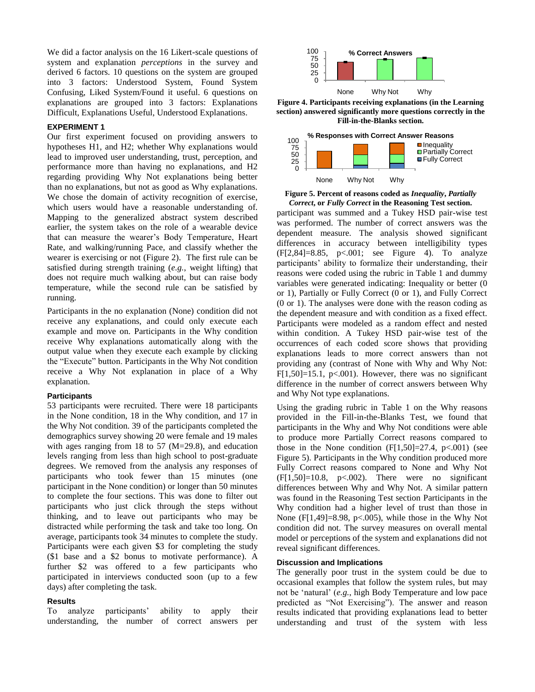We did a factor analysis on the 16 Likert-scale questions of system and explanation *perceptions* in the survey and derived 6 factors. 10 questions on the system are grouped into 3 factors: Understood System, Found System Confusing, Liked System/Found it useful. 6 questions on explanations are grouped into 3 factors: Explanations Difficult, Explanations Useful, Understood Explanations.

### **EXPERIMENT 1**

Our first experiment focused on providing answers to hypotheses H1, and H2; whether Why explanations would lead to improved user understanding, trust, perception, and performance more than having no explanations, and H2 regarding providing Why Not explanations being better than no explanations, but not as good as Why explanations. We chose the domain of activity recognition of exercise, which users would have a reasonable understanding of. Mapping to the generalized abstract system described earlier, the system takes on the role of a wearable device that can measure the wearer"s Body Temperature, Heart Rate, and walking/running Pace, and classify whether the wearer is exercising or not (Figure 2). The first rule can be satisfied during strength training (*e.g.*, weight lifting) that does not require much walking about, but can raise body temperature, while the second rule can be satisfied by running.

Participants in the no explanation (None) condition did not receive any explanations, and could only execute each example and move on. Participants in the Why condition receive Why explanations automatically along with the output value when they execute each example by clicking the "Execute" button. Participants in the Why Not condition receive a Why Not explanation in place of a Why explanation.

#### **Participants**

53 participants were recruited. There were 18 participants in the None condition, 18 in the Why condition, and 17 in the Why Not condition. 39 of the participants completed the demographics survey showing 20 were female and 19 males with ages ranging from 18 to 57 (M=29.8), and education levels ranging from less than high school to post-graduate degrees. We removed from the analysis any responses of participants who took fewer than 15 minutes (one participant in the None condition) or longer than 50 minutes to complete the four sections. This was done to filter out participants who just click through the steps without thinking, and to leave out participants who may be distracted while performing the task and take too long. On average, participants took 34 minutes to complete the study. Participants were each given \$3 for completing the study (\$1 base and a \$2 bonus to motivate performance). A further \$2 was offered to a few participants who participated in interviews conducted soon (up to a few days) after completing the task.

#### **Results**

To analyze participants" ability to apply their understanding, the number of correct answers per



**Figure 4. Participants receiving explanations (in the Learning section) answered significantly more questions correctly in the Fill-in-the-Blanks section.**



**Figure 5. Percent of reasons coded as** *Inequality***,** *Partially Correct***, or** *Fully Correct* **in the Reasoning Test section.**

participant was summed and a Tukey HSD pair-wise test was performed. The number of correct answers was the dependent measure. The analysis showed significant differences in accuracy between intelligibility types (F[2,84]=8.85, p<.001; see Figure 4). To analyze participants" ability to formalize their understanding, their reasons were coded using the rubric in Table 1 and dummy variables were generated indicating: Inequality or better (0 or 1), Partially or Fully Correct (0 or 1), and Fully Correct (0 or 1). The analyses were done with the reason coding as the dependent measure and with condition as a fixed effect. Participants were modeled as a random effect and nested within condition. A Tukey HSD pair-wise test of the occurrences of each coded score shows that providing explanations leads to more correct answers than not providing any (contrast of None with Why and Why Not: F[1,50]=15.1, p $<0.001$ ). However, there was no significant difference in the number of correct answers between Why and Why Not type explanations.

Using the grading rubric in [Table 1](#page-3-0) on the Why reasons provided in the Fill-in-the-Blanks Test, we found that participants in the Why and Why Not conditions were able to produce more Partially Correct reasons compared to those in the None condition  $(F[1,50]=27.4, p<0.01)$  (see Figure 5). Participants in the Why condition produced more Fully Correct reasons compared to None and Why Not  $(F[1,50]=10.8, p<0.002)$ . There were no significant differences between Why and Why Not. A similar pattern was found in the Reasoning Test section Participants in the Why condition had a higher level of trust than those in None (F[1,49]=8.98, p<.005), while those in the Why Not condition did not. The survey measures on overall mental model or perceptions of the system and explanations did not reveal significant differences.

#### **Discussion and Implications**

The generally poor trust in the system could be due to occasional examples that follow the system rules, but may not be "natural" (*e.g.*, high Body Temperature and low pace predicted as "Not Exercising"). The answer and reason results indicated that providing explanations lead to better understanding and trust of the system with less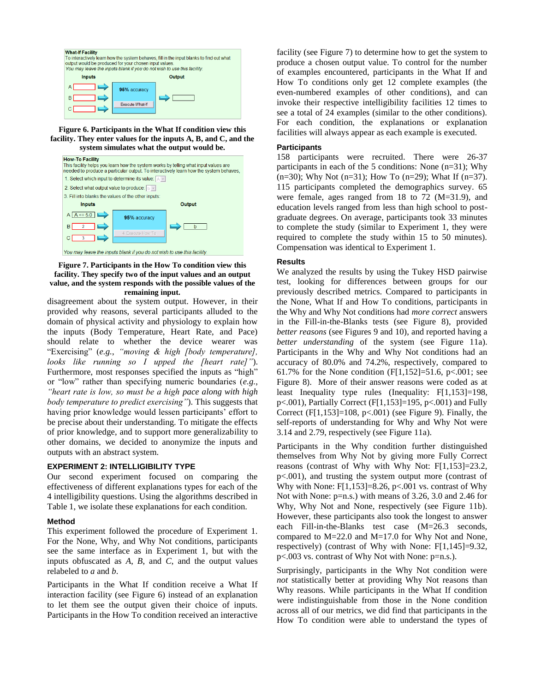

#### **Figure 6. Participants in the What If condition view this facility. They enter values for the inputs A, B, and C, and the system simulates what the output would be.**



## **Figure 7. Participants in the How To condition view this facility. They specify two of the input values and an output value, and the system responds with the possible values of the remaining input.**

disagreement about the system output. However, in their provided why reasons, several participants alluded to the domain of physical activity and physiology to explain how the inputs (Body Temperature, Heart Rate, and Pace) should relate to whether the device wearer was "Exercising" (*e.g.*, *"moving & high [body temperature], looks like running so I upped the [heart rate]"*). Furthermore, most responses specified the inputs as "high" or "low" rather than specifying numeric boundaries (*e.g.*, *"heart rate is low, so must be a high pace along with high body temperature to predict exercising"*). This suggests that having prior knowledge would lessen participants' effort to be precise about their understanding. To mitigate the effects of prior knowledge, and to support more generalizability to other domains, we decided to anonymize the inputs and outputs with an abstract system.

# **EXPERIMENT 2: INTELLIGIBILITY TYPE**

Our second experiment focused on comparing the effectiveness of different explanations types for each of the 4 intelligibility questions. Using the algorithms described in Table 1, we isolate these explanations for each condition.

# **Method**

This experiment followed the procedure of Experiment 1. For the None, Why, and Why Not conditions, participants see the same interface as in Experiment 1, but with the inputs obfuscated as *A*, *B*, and *C*, and the output values relabeled to *a* and *b*.

Participants in the What If condition receive a What If interaction facility (see Figure 6) instead of an explanation to let them see the output given their choice of inputs. Participants in the How To condition received an interactive

facility (see Figure 7) to determine how to get the system to produce a chosen output value. To control for the number of examples encountered, participants in the What If and How To conditions only get 12 complete examples (the even-numbered examples of other conditions), and can invoke their respective intelligibility facilities 12 times to see a total of 24 examples (similar to the other conditions). For each condition, the explanations or explanation facilities will always appear as each example is executed.

# **Participants**

158 participants were recruited. There were 26-37 participants in each of the 5 conditions: None (n=31); Why  $(n=30)$ ; Why Not  $(n=31)$ ; How To  $(n=29)$ ; What If  $(n=37)$ . 115 participants completed the demographics survey. 65 were female, ages ranged from 18 to 72 (M=31.9), and education levels ranged from less than high school to postgraduate degrees. On average, participants took 33 minutes to complete the study (similar to Experiment 1, they were required to complete the study within 15 to 50 minutes). Compensation was identical to Experiment 1.

# **Results**

We analyzed the results by using the Tukey HSD pairwise test, looking for differences between groups for our previously described metrics. Compared to participants in the None, What If and How To conditions, participants in the Why and Why Not conditions had *more correct* answers in the Fill-in-the-Blanks tests (see Figure 8), provided *better reasons* (see Figures 9 and 10), and reported having a *better understanding* of the system (see Figure 11a). Participants in the Why and Why Not conditions had an accuracy of 80.0% and 74.2%, respectively, compared to 61.7% for the None condition  $(F[1,152] = 51.6, p < 0.001;$  see Figure 8). More of their answer reasons were coded as at least Inequality type rules (Inequality: F[1,153]=198, p<.001), Partially Correct (F[1,153]=195, p<.001) and Fully Correct  $(F[1,153] = 108, p<.001)$  (see Figure 9). Finally, the self-reports of understanding for Why and Why Not were 3.14 and 2.79, respectively (see Figure 11a).

Participants in the Why condition further distinguished themselves from Why Not by giving more Fully Correct reasons (contrast of Why with Why Not: F[1,153]=23.2, p<.001), and trusting the system output more (contrast of Why with None:  $F[1,153] = 8.26$ , p<.001 vs. contrast of Why Not with None: p=n.s.) with means of 3.26, 3.0 and 2.46 for Why, Why Not and None, respectively (see Figure 11b). However, these participants also took the longest to answer each Fill-in-the-Blanks test case (M=26.3 seconds, compared to M=22.0 and M=17.0 for Why Not and None, respectively) (contrast of Why with None: F[1,145]=9.32, p<.003 vs. contrast of Why Not with None: p=n.s.).

Surprisingly, participants in the Why Not condition were *not* statistically better at providing Why Not reasons than Why reasons. While participants in the What If condition were indistinguishable from those in the None condition across all of our metrics, we did find that participants in the How To condition were able to understand the types of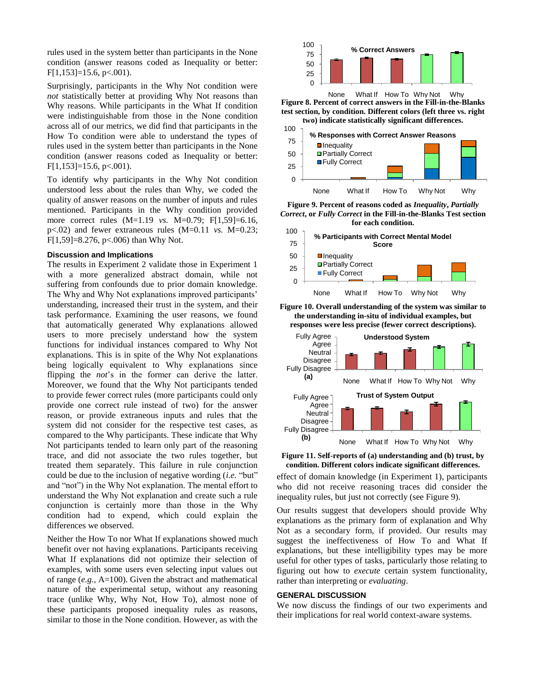rules used in the system better than participants in the None condition (answer reasons coded as Inequality or better: F[1,153]=15.6, p<.001).

Surprisingly, participants in the Why Not condition were *not* statistically better at providing Why Not reasons than Why reasons. While participants in the What If condition were indistinguishable from those in the None condition across all of our metrics, we did find that participants in the How To condition were able to understand the types of rules used in the system better than participants in the None condition (answer reasons coded as Inequality or better:  $F[1,153] = 15.6, p < .001$ .

To identify why participants in the Why Not condition understood less about the rules than Why, we coded the quality of answer reasons on the number of inputs and rules mentioned. Participants in the Why condition provided more correct rules (M=1.19 *vs.* M=0.79; F[1,59]=6.16, p<.02) and fewer extraneous rules (M=0.11 *vs.* M=0.23; F[1,59]=8.276, p<.006) than Why Not.

# **Discussion and Implications**

The results in Experiment 2 validate those in Experiment 1 with a more generalized abstract domain, while not suffering from confounds due to prior domain knowledge. The Why and Why Not explanations improved participants' understanding, increased their trust in the system, and their task performance. Examining the user reasons, we found that automatically generated Why explanations allowed users to more precisely understand how the system functions for individual instances compared to Why Not explanations. This is in spite of the Why Not explanations being logically equivalent to Why explanations since flipping the *not*'s in the former can derive the latter. Moreover, we found that the Why Not participants tended to provide fewer correct rules (more participants could only provide one correct rule instead of two) for the answer reason, or provide extraneous inputs and rules that the system did not consider for the respective test cases, as compared to the Why participants. These indicate that Why Not participants tended to learn only part of the reasoning trace, and did not associate the two rules together, but treated them separately. This failure in rule conjunction could be due to the inclusion of negative wording (*i.e.* "but" and "not") in the Why Not explanation. The mental effort to understand the Why Not explanation and create such a rule conjunction is certainly more than those in the Why condition had to expend, which could explain the differences we observed.

Neither the How To nor What If explanations showed much benefit over not having explanations. Participants receiving What If explanations did not optimize their selection of examples, with some users even selecting input values out of range (*e.g.*, A=100). Given the abstract and mathematical nature of the experimental setup, without any reasoning trace (unlike Why, Why Not, How To), almost none of these participants proposed inequality rules as reasons, similar to those in the None condition. However, as with the



**Figure 8. Percent of correct answers in the Fill-in-the-Blanks test section, by condition. Different colors (left three vs. right two) indicate statistically significant differences.** None What If How To Why Not Why



**Figure 9. Percent of reasons coded as** *Inequality***,** *Partially Correct***, or** *Fully Correct* **in the Fill-in-the-Blanks Test section for each condition.**



**Figure 10. Overall understanding of the system was similar to the understanding in-situ of individual examples, but responses were less precise (fewer correct descriptions).** 



**Figure 11. Self-reports of (a) understanding and (b) trust, by condition. Different colors indicate significant differences.**

effect of domain knowledge (in Experiment 1), participants who did not receive reasoning traces did consider the inequality rules, but just not correctly (see Figure 9).

Our results suggest that developers should provide Why explanations as the primary form of explanation and Why Not as a secondary form, if provided. Our results may suggest the ineffectiveness of How To and What If explanations, but these intelligibility types may be more useful for other types of tasks, particularly those relating to figuring out how to *execute* certain system functionality, rather than interpreting or *evaluating*.

## **GENERAL DISCUSSION**

We now discuss the findings of our two experiments and their implications for real world context-aware systems.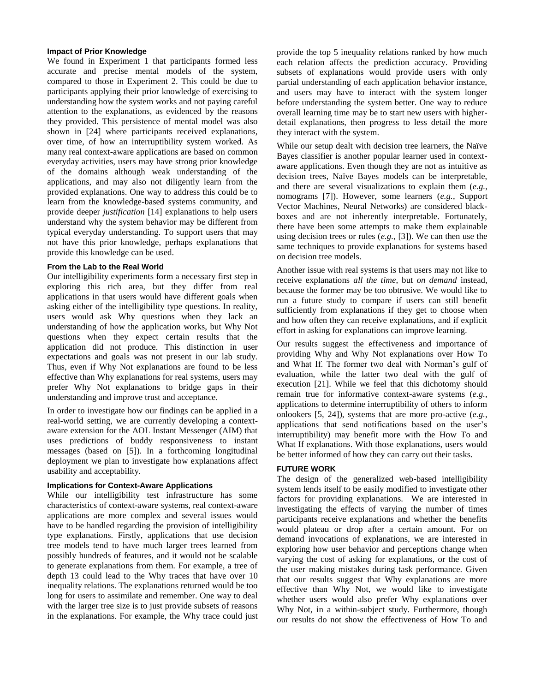#### **Impact of Prior Knowledge**

We found in Experiment 1 that participants formed less accurate and precise mental models of the system, compared to those in Experiment 2. This could be due to participants applying their prior knowledge of exercising to understanding how the system works and not paying careful attention to the explanations, as evidenced by the reasons they provided. This persistence of mental model was also shown in [24] where participants received explanations, over time, of how an interruptibility system worked. As many real context-aware applications are based on common everyday activities, users may have strong prior knowledge of the domains although weak understanding of the applications, and may also not diligently learn from the provided explanations. One way to address this could be to learn from the knowledge-based systems community, and provide deeper *justification* [14] explanations to help users understand why the system behavior may be different from typical everyday understanding. To support users that may not have this prior knowledge, perhaps explanations that provide this knowledge can be used.

### **From the Lab to the Real World**

Our intelligibility experiments form a necessary first step in exploring this rich area, but they differ from real applications in that users would have different goals when asking either of the intelligibility type questions. In reality, users would ask Why questions when they lack an understanding of how the application works, but Why Not questions when they expect certain results that the application did not produce. This distinction in user expectations and goals was not present in our lab study. Thus, even if Why Not explanations are found to be less effective than Why explanations for real systems, users may prefer Why Not explanations to bridge gaps in their understanding and improve trust and acceptance.

In order to investigate how our findings can be applied in a real-world setting, we are currently developing a contextaware extension for the AOL Instant Messenger (AIM) that uses predictions of buddy responsiveness to instant messages (based on [\[5\]](#page-9-7)). In a forthcoming longitudinal deployment we plan to investigate how explanations affect usability and acceptability.

## **Implications for Context-Aware Applications**

While our intelligibility test infrastructure has some characteristics of context-aware systems, real context-aware applications are more complex and several issues would have to be handled regarding the provision of intelligibility type explanations. Firstly, applications that use decision tree models tend to have much larger trees learned from possibly hundreds of features, and it would not be scalable to generate explanations from them. For example, a tree of depth 13 could lead to the Why traces that have over 10 inequality relations. The explanations returned would be too long for users to assimilate and remember. One way to deal with the larger tree size is to just provide subsets of reasons in the explanations. For example, the Why trace could just provide the top 5 inequality relations ranked by how much each relation affects the prediction accuracy. Providing subsets of explanations would provide users with only partial understanding of each application behavior instance, and users may have to interact with the system longer before understanding the system better. One way to reduce overall learning time may be to start new users with higherdetail explanations, then progress to less detail the more they interact with the system.

While our setup dealt with decision tree learners, the Naïve Bayes classifier is another popular learner used in contextaware applications. Even though they are not as intuitive as decision trees, Naïve Bayes models can be interpretable, and there are several visualizations to explain them (*e.g.*, nomograms [7]). However, some learners (*e.g.*, Support Vector Machines, Neural Networks) are considered blackboxes and are not inherently interpretable. Fortunately, there have been some attempts to make them explainable using decision trees or rules (*e.g.*, [\[3\]](#page-9-8)). We can then use the same techniques to provide explanations for systems based on decision tree models.

Another issue with real systems is that users may not like to receive explanations *all the time*, but *on demand* instead, because the former may be too obtrusive. We would like to run a future study to compare if users can still benefit sufficiently from explanations if they get to choose when and how often they can receive explanations, and if explicit effort in asking for explanations can improve learning.

Our results suggest the effectiveness and importance of providing Why and Why Not explanations over How To and What If. The former two deal with Norman"s gulf of evaluation, while the latter two deal with the gulf of execution [\[21\]](#page-9-9). While we feel that this dichotomy should remain true for informative context-aware systems (*e.g.*, applications to determine interruptibility of others to inform onlookers [\[5,](#page-9-7) [24\]](#page-9-10)), systems that are more pro-active (*e.g.*, applications that send notifications based on the user"s interruptibility) may benefit more with the How To and What If explanations. With those explanations, users would be better informed of how they can carry out their tasks.

# **FUTURE WORK**

The design of the generalized web-based intelligibility system lends itself to be easily modified to investigate other factors for providing explanations. We are interested in investigating the effects of varying the number of times participants receive explanations and whether the benefits would plateau or drop after a certain amount. For on demand invocations of explanations, we are interested in exploring how user behavior and perceptions change when varying the cost of asking for explanations, or the cost of the user making mistakes during task performance. Given that our results suggest that Why explanations are more effective than Why Not, we would like to investigate whether users would also prefer Why explanations over Why Not, in a within-subject study. Furthermore, though our results do not show the effectiveness of How To and